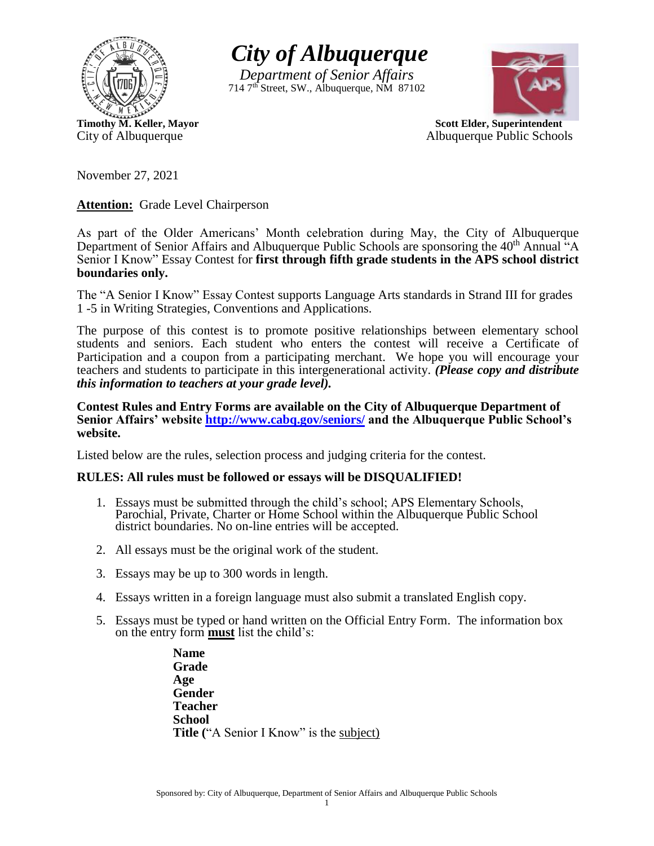

*City of Albuquerque*

*Department of Senior Affairs* 714 7th Street, SW., Albuquerque, NM 87102



**Timothy M. Keller, Mayor** Scott Elder, Superintendent City of Albuquerque **Albuquerque Albuquerque Public Schools** 

November 27, 2021

**Attention:** Grade Level Chairperson

As part of the Older Americans' Month celebration during May, the City of Albuquerque Department of Senior Affairs and Albuquerque Public Schools are sponsoring the 40<sup>th</sup> Annual "A Senior I Know" Essay Contest for **first through fifth grade students in the APS school district boundaries only.**

The "A Senior I Know" Essay Contest supports Language Arts standards in Strand III for grades 1 -5 in Writing Strategies, Conventions and Applications.

The purpose of this contest is to promote positive relationships between elementary school students and seniors. Each student who enters the contest will receive a Certificate of Participation and a coupon from a participating merchant. We hope you will encourage your teachers and students to participate in this intergenerational activity. *(Please copy and distribute this information to teachers at your grade level).*

**Contest Rules and Entry Forms are available on the City of Albuquerque Department of Senior Affairs' website <http://www.cabq.gov/seniors/> and the Albuquerque Public School's website.**

Listed below are the rules, selection process and judging criteria for the contest.

## **RULES: All rules must be followed or essays will be DISQUALIFIED!**

- 1. Essays must be submitted through the child's school; APS Elementary Schools, Parochial, Private, Charter or Home School within the Albuquerque Public School district boundaries. No on-line entries will be accepted.
- 2. All essays must be the original work of the student.
- 3. Essays may be up to 300 words in length.
- 4. Essays written in a foreign language must also submit a translated English copy.
- 5. Essays must be typed or hand written on the Official Entry Form. The information box on the entry form **must** list the child's:

**Name Grade Age Gender Teacher School Title** ("A Senior I Know" is the subject)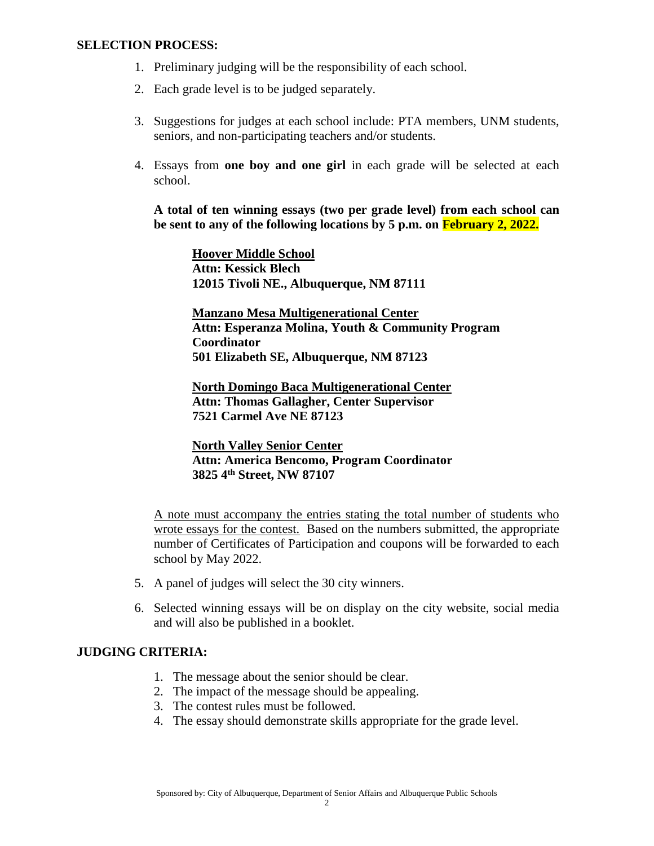## **SELECTION PROCESS:**

- 1. Preliminary judging will be the responsibility of each school.
- 2. Each grade level is to be judged separately.
- 3. Suggestions for judges at each school include: PTA members, UNM students, seniors, and non-participating teachers and/or students.
- 4. Essays from **one boy and one girl** in each grade will be selected at each school.

**A total of ten winning essays (two per grade level) from each school can be sent to any of the following locations by 5 p.m. on February 2, 2022.**

**Hoover Middle School Attn: Kessick Blech 12015 Tivoli NE., Albuquerque, NM 87111**

**Manzano Mesa Multigenerational Center Attn: Esperanza Molina, Youth & Community Program Coordinator 501 Elizabeth SE, Albuquerque, NM 87123**

**North Domingo Baca Multigenerational Center Attn: Thomas Gallagher, Center Supervisor 7521 Carmel Ave NE 87123**

**North Valley Senior Center Attn: America Bencomo, Program Coordinator 3825 4th Street, NW 87107**

A note must accompany the entries stating the total number of students who wrote essays for the contest. Based on the numbers submitted, the appropriate number of Certificates of Participation and coupons will be forwarded to each school by May 2022.

- 5. A panel of judges will select the 30 city winners.
- 6. Selected winning essays will be on display on the city website, social media and will also be published in a booklet.

## **JUDGING CRITERIA:**

- 1. The message about the senior should be clear.
- 2. The impact of the message should be appealing.
- 3. The contest rules must be followed.
- 4. The essay should demonstrate skills appropriate for the grade level.